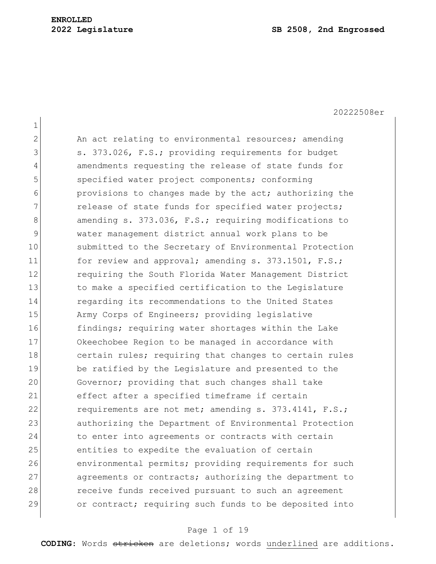1 2 An act relating to environmental resources; amending 3 s. 373.026, F.S.; providing requirements for budget 4 amendments requesting the release of state funds for 5 specified water project components; conforming 6 6 provisions to changes made by the act; authorizing the 7 release of state funds for specified water projects; 8 amending s. 373.036, F.S.; requiring modifications to 9 water management district annual work plans to be 10 Submitted to the Secretary of Environmental Protection 11 for review and approval; amending s. 373.1501, F.S.; 12 requiring the South Florida Water Management District 13 13 to make a specified certification to the Legislature 14 regarding its recommendations to the United States 15 Army Corps of Engineers; providing legislative 16 findings; requiring water shortages within the Lake 17 Okeechobee Region to be managed in accordance with 18 certain rules; requiring that changes to certain rules 19 be ratified by the Legislature and presented to the 20 Governor; providing that such changes shall take 21 effect after a specified timeframe if certain 22 requirements are not met; amending s. 373.4141, F.S.; 23 authorizing the Department of Environmental Protection 24 to enter into agreements or contracts with certain 25 entities to expedite the evaluation of certain 26 environmental permits; providing requirements for such 27 agreements or contracts; authorizing the department to 28 receive funds received pursuant to such an agreement 29 or contract; requiring such funds to be deposited into

## Page 1 of 19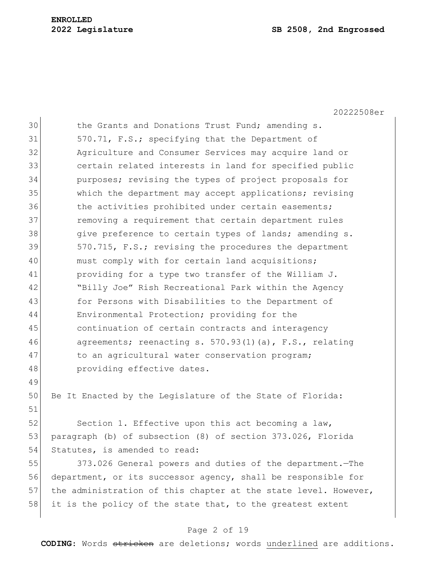20222508er

| 30 | the Grants and Donations Trust Fund; amending s.       |
|----|--------------------------------------------------------|
| 31 | 570.71, F.S.; specifying that the Department of        |
| 32 | Agriculture and Consumer Services may acquire land or  |
| 33 | certain related interests in land for specified public |
| 34 | purposes; revising the types of project proposals for  |
| 35 | which the department may accept applications; revising |
| 36 | the activities prohibited under certain easements;     |
| 37 | removing a requirement that certain department rules   |
| 38 | give preference to certain types of lands; amending s. |
| 39 | 570.715, F.S.; revising the procedures the department  |
| 40 | must comply with for certain land acquisitions;        |
| 41 | providing for a type two transfer of the William J.    |
| 42 | "Billy Joe" Rish Recreational Park within the Agency   |
| 43 | for Persons with Disabilities to the Department of     |
| 44 | Environmental Protection; providing for the            |
| 45 | continuation of certain contracts and interagency      |
| 46 | agreements; reenacting s. 570.93(1)(a), F.S., relating |
| 47 | to an agricultural water conservation program;         |
| 48 | providing effective dates.                             |

50 Be It Enacted by the Legislature of the State of Florida:

52 Section 1. Effective upon this act becoming a law, 53 paragraph (b) of subsection (8) of section 373.026, Florida 54 Statutes, is amended to read:

 373.026 General powers and duties of the department.—The department, or its successor agency, shall be responsible for 57 the administration of this chapter at the state level. However, it is the policy of the state that, to the greatest extent

# Page 2 of 19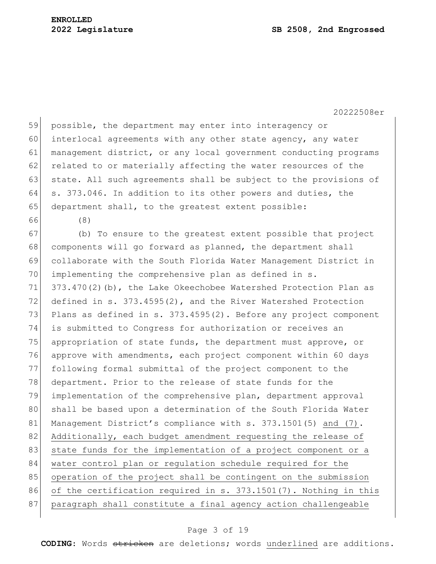59 possible, the department may enter into interagency or 60 interlocal agreements with any other state agency, any water 61 management district, or any local government conducting programs 62 related to or materially affecting the water resources of the 63 state. All such agreements shall be subject to the provisions of 64 s. 373.046. In addition to its other powers and duties, the 65 department shall, to the greatest extent possible:

66 (8)

67 (b) To ensure to the greatest extent possible that project 68 components will go forward as planned, the department shall 69 collaborate with the South Florida Water Management District in 70 implementing the comprehensive plan as defined in s. 71 373.470(2)(b), the Lake Okeechobee Watershed Protection Plan as 72 defined in s. 373.4595(2), and the River Watershed Protection 73 Plans as defined in s. 373.4595(2). Before any project component 74 is submitted to Congress for authorization or receives an 75 appropriation of state funds, the department must approve, or 76 approve with amendments, each project component within 60 days 77 following formal submittal of the project component to the 78 department. Prior to the release of state funds for the 79 implementation of the comprehensive plan, department approval 80 shall be based upon a determination of the South Florida Water 81 Management District's compliance with s. 373.1501(5) and (7). 82 Additionally, each budget amendment requesting the release of 83 state funds for the implementation of a project component or a 84 water control plan or regulation schedule required for the 85 operation of the project shall be contingent on the submission 86 of the certification required in s. 373.1501(7). Nothing in this 87 | paragraph shall constitute a final agency action challengeable

# Page 3 of 19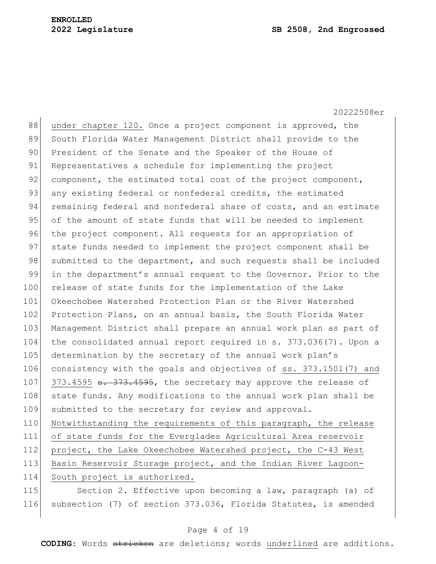20222508er 88 under chapter 120. Once a project component is approved, the 89 South Florida Water Management District shall provide to the 90 President of the Senate and the Speaker of the House of 91 Representatives a schedule for implementing the project 92 component, the estimated total cost of the project component, 93 any existing federal or nonfederal credits, the estimated 94 remaining federal and nonfederal share of costs, and an estimate 95 of the amount of state funds that will be needed to implement 96 the project component. All requests for an appropriation of 97 state funds needed to implement the project component shall be 98 submitted to the department, and such requests shall be included 99 in the department's annual request to the Governor. Prior to the 100 release of state funds for the implementation of the Lake 101 Okeechobee Watershed Protection Plan or the River Watershed 102 Protection Plans, on an annual basis, the South Florida Water 103 Management District shall prepare an annual work plan as part of 104 the consolidated annual report required in s. 373.036(7). Upon a 105 determination by the secretary of the annual work plan's 106 consistency with the goals and objectives of ss. 373.1501(7) and 107  $373.4595$   $\overline{373.4595}$ , the secretary may approve the release of 108 state funds. Any modifications to the annual work plan shall be 109 submitted to the secretary for review and approval. 110 Notwithstanding the requirements of this paragraph, the release 111 of state funds for the Everglades Agricultural Area reservoir 112 project, the Lake Okeechobee Watershed project, the C-43 West 113 Basin Reservoir Storage project, and the Indian River Lagoon-114 South project is authorized. 115 Section 2. Effective upon becoming a law, paragraph (a) of 116 subsection (7) of section 373.036, Florida Statutes, is amended

## Page 4 of 19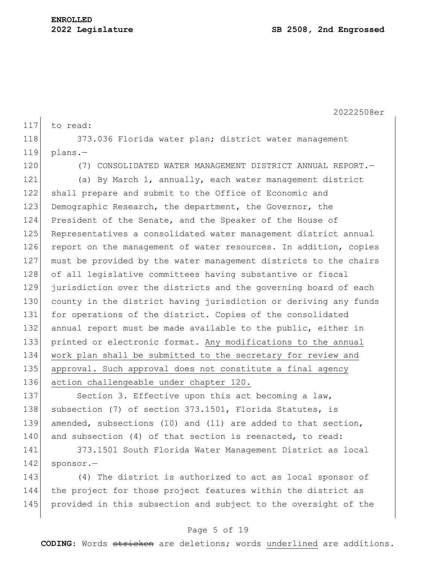20222508er 117 to read: 118 373.036 Florida water plan; district water management  $119$  plans.-120 (7) CONSOLIDATED WATER MANAGEMENT DISTRICT ANNUAL REPORT.— 121 (a) By March 1, annually, each water management district 122 shall prepare and submit to the Office of Economic and 123 Demographic Research, the department, the Governor, the 124 President of the Senate, and the Speaker of the House of 125 Representatives a consolidated water management district annual 126 report on the management of water resources. In addition, copies 127 must be provided by the water management districts to the chairs 128 of all legislative committees having substantive or fiscal 129 jurisdiction over the districts and the governing board of each 130 county in the district having jurisdiction or deriving any funds 131 for operations of the district. Copies of the consolidated 132 annual report must be made available to the public, either in 133 printed or electronic format. Any modifications to the annual 134 work plan shall be submitted to the secretary for review and 135 approval. Such approval does not constitute a final agency 136 action challengeable under chapter 120. 137 Section 3. Effective upon this act becoming a law,

138 subsection (7) of section 373.1501, Florida Statutes, is 139 amended, subsections (10) and (11) are added to that section, 140 and subsection (4) of that section is reenacted, to read:

141 373.1501 South Florida Water Management District as local 142 sponsor.-

143 (4) The district is authorized to act as local sponsor of 144 the project for those project features within the district as 145 provided in this subsection and subject to the oversight of the

# Page 5 of 19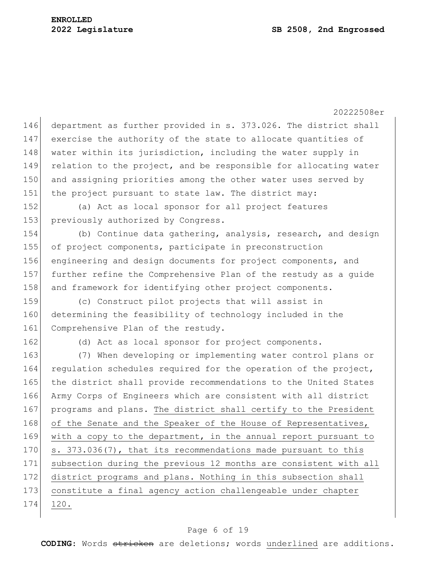20222508er 146 department as further provided in s. 373.026. The district shall 147 exercise the authority of the state to allocate quantities of 148 water within its jurisdiction, including the water supply in 149 relation to the project, and be responsible for allocating water 150 and assigning priorities among the other water uses served by 151 | the project pursuant to state law. The district may: 152 (a) Act as local sponsor for all project features 153 previously authorized by Congress. 154 (b) Continue data gathering, analysis, research, and design 155 of project components, participate in preconstruction 156 engineering and design documents for project components, and 157 further refine the Comprehensive Plan of the restudy as a guide 158 and framework for identifying other project components. 159 (c) Construct pilot projects that will assist in 160 determining the feasibility of technology included in the 161 Comprehensive Plan of the restudy. 162 (d) Act as local sponsor for project components. 163 (7) When developing or implementing water control plans or 164 regulation schedules required for the operation of the project, 165 the district shall provide recommendations to the United States 166 Army Corps of Engineers which are consistent with all district 167 programs and plans. The district shall certify to the President 168 of the Senate and the Speaker of the House of Representatives, 169 with a copy to the department, in the annual report pursuant to 170 s. 373.036(7), that its recommendations made pursuant to this 171 subsection during the previous 12 months are consistent with all 172 district programs and plans. Nothing in this subsection shall 173 constitute a final agency action challengeable under chapter 174 120.

# Page 6 of 19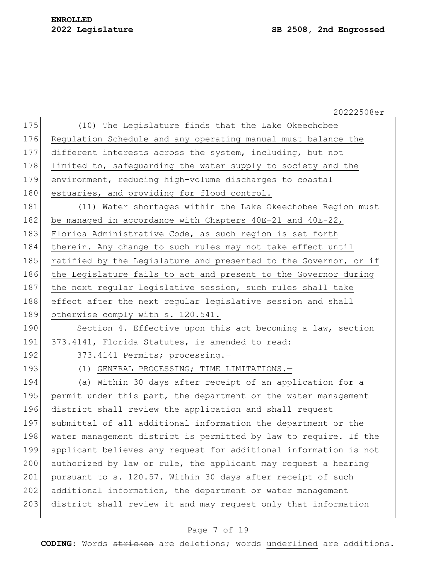|     | 20222508er                                                       |
|-----|------------------------------------------------------------------|
| 175 | (10) The Legislature finds that the Lake Okeechobee              |
| 176 | Regulation Schedule and any operating manual must balance the    |
| 177 | different interests across the system, including, but not        |
| 178 | limited to, safeguarding the water supply to society and the     |
| 179 | environment, reducing high-volume discharges to coastal          |
| 180 | estuaries, and providing for flood control.                      |
| 181 | (11) Water shortages within the Lake Okeechobee Region must      |
| 182 | be managed in accordance with Chapters $40E-21$ and $40E-22$ ,   |
| 183 | Florida Administrative Code, as such region is set forth         |
| 184 | therein. Any change to such rules may not take effect until      |
| 185 | ratified by the Legislature and presented to the Governor, or if |
| 186 | the Legislature fails to act and present to the Governor during  |
| 187 | the next regular legislative session, such rules shall take      |
| 188 | effect after the next regular legislative session and shall      |
| 189 | otherwise comply with s. 120.541.                                |
| 190 | Section 4. Effective upon this act becoming a law, section       |
| 191 | 373.4141, Florida Statutes, is amended to read:                  |
| 192 | 373.4141 Permits; processing.-                                   |
| 193 | (1) GENERAL PROCESSING; TIME LIMITATIONS.-                       |
| 194 | (a) Within 30 days after receipt of an application for a         |
| 195 | permit under this part, the department or the water management   |
| 196 | district shall review the application and shall request          |
| 197 | submittal of all additional information the department or the    |
| 198 | water management district is permitted by law to require. If the |
| 199 | applicant believes any request for additional information is not |
| 200 | authorized by law or rule, the applicant may request a hearing   |
| 201 | pursuant to s. 120.57. Within 30 days after receipt of such      |
| 202 | additional information, the department or water management       |
| 203 | district shall review it and may request only that information   |
|     |                                                                  |

# Page 7 of 19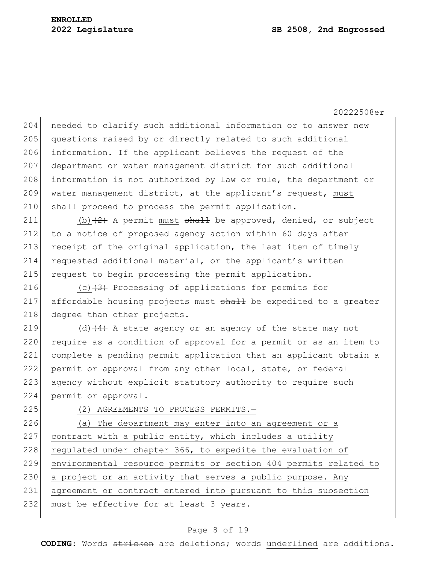204 needed to clarify such additional information or to answer new 205 questions raised by or directly related to such additional 206 information. If the applicant believes the request of the 207 department or water management district for such additional 208 information is not authorized by law or rule, the department or 209 water management district, at the applicant's request, must 210 shall proceed to process the permit application.

211 (b)  $(2)$  A permit must shall be approved, denied, or subject 212 to a notice of proposed agency action within 60 days after 213 receipt of the original application, the last item of timely 214 requested additional material, or the applicant's written 215 request to begin processing the permit application.

216 (c) $\left(3\right)$  Processing of applications for permits for 217 affordable housing projects must shall be expedited to a greater 218 degree than other projects.

219 (d)  $\left(4\right)$  A state agency or an agency of the state may not 220 require as a condition of approval for a permit or as an item to 221 complete a pending permit application that an applicant obtain a 222 permit or approval from any other local, state, or federal 223 agency without explicit statutory authority to require such 224 permit or approval.

225 (2) AGREEMENTS TO PROCESS PERMITS.

226 (a) The department may enter into an agreement or a  $227$  contract with a public entity, which includes a utility 228 regulated under chapter 366, to expedite the evaluation of 229 environmental resource permits or section 404 permits related to 230 a project or an activity that serves a public purpose. Any 231 agreement or contract entered into pursuant to this subsection 232 must be effective for at least 3 years.

# Page 8 of 19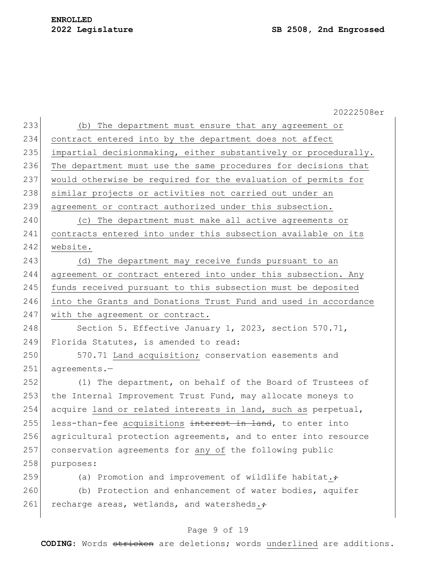|     | 20222508er                                                             |
|-----|------------------------------------------------------------------------|
| 233 | (b) The department must ensure that any agreement or                   |
| 234 | contract entered into by the department does not affect                |
| 235 | impartial decisionmaking, either substantively or procedurally.        |
| 236 | The department must use the same procedures for decisions that         |
| 237 | would otherwise be required for the evaluation of permits for          |
| 238 | similar projects or activities not carried out under an                |
| 239 | agreement or contract authorized under this subsection.                |
| 240 | (c) The department must make all active agreements or                  |
| 241 | contracts entered into under this subsection available on its          |
| 242 | website.                                                               |
| 243 | (d) The department may receive funds pursuant to an                    |
| 244 | agreement or contract entered into under this subsection. Any          |
| 245 | funds received pursuant to this subsection must be deposited           |
| 246 | into the Grants and Donations Trust Fund and used in accordance        |
| 247 | with the agreement or contract.                                        |
| 248 | Section 5. Effective January 1, 2023, section 570.71,                  |
| 249 | Florida Statutes, is amended to read:                                  |
| 250 | 570.71 Land acquisition; conservation easements and                    |
| 251 | agreements.-                                                           |
| 252 | (1) The department, on behalf of the Board of Trustees of              |
| 253 | the Internal Improvement Trust Fund, may allocate moneys to            |
| 254 | acquire land or related interests in land, such as perpetual,          |
| 255 | less-than-fee acquisitions <del>interest in land</del> , to enter into |
| 256 | agricultural protection agreements, and to enter into resource         |
| 257 | conservation agreements for any of the following public                |
| 258 | purposes:                                                              |
| 259 | (a) Promotion and improvement of wildlife habitat. $\div$              |
| 260 | (b) Protection and enhancement of water bodies, aquifer                |
| 261 | recharge areas, wetlands, and watersheds.+                             |
|     |                                                                        |

# Page 9 of 19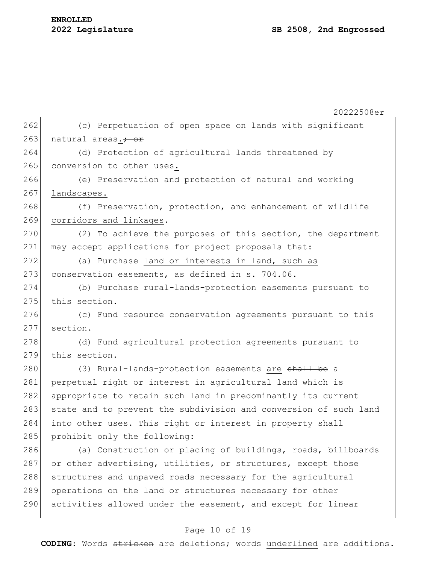20222508er 262 (c) Perpetuation of open space on lands with significant 263 natural areas.<del>; or</del> 264 (d) Protection of agricultural lands threatened by 265 conversion to other uses. 266 (e) Preservation and protection of natural and working 267 landscapes. 268 (f) Preservation, protection, and enhancement of wildlife 269 corridors and linkages. 270 (2) To achieve the purposes of this section, the department 271 may accept applications for project proposals that: 272 (a) Purchase land or interests in land, such as 273 conservation easements, as defined in s. 704.06. 274 (b) Purchase rural-lands-protection easements pursuant to 275 this section. 276 (c) Fund resource conservation agreements pursuant to this 277 section. 278 (d) Fund agricultural protection agreements pursuant to 279 this section. 280 (3) Rural-lands-protection easements are shall be a 281 perpetual right or interest in agricultural land which is 282 appropriate to retain such land in predominantly its current 283 state and to prevent the subdivision and conversion of such land 284 into other uses. This right or interest in property shall 285 prohibit only the following: 286 (a) Construction or placing of buildings, roads, billboards 287 or other advertising, utilities, or structures, except those 288 structures and unpaved roads necessary for the agricultural 289 operations on the land or structures necessary for other 290 activities allowed under the easement, and except for linear

# Page 10 of 19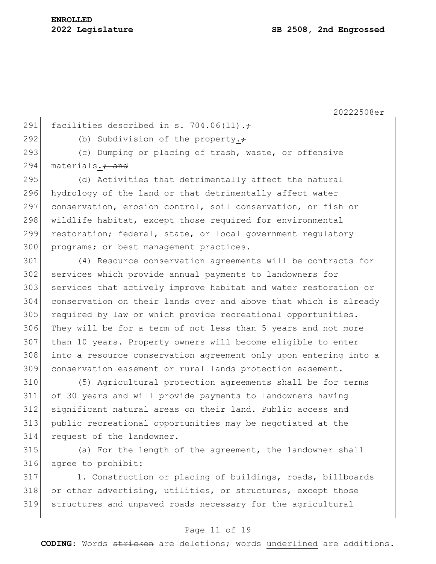291 facilities described in s. 704.06(11). $\div$ 

292 (b) Subdivision of the property. $\div$ 

293 (c) Dumping or placing of trash, waste, or offensive 294 materials. $\frac{1}{10}$  materials.

295 (d) Activities that detrimentally affect the natural 296 hydrology of the land or that detrimentally affect water 297 conservation, erosion control, soil conservation, or fish or 298 wildlife habitat, except those required for environmental 299 restoration; federal, state, or local government regulatory 300 programs; or best management practices.

 (4) Resource conservation agreements will be contracts for services which provide annual payments to landowners for services that actively improve habitat and water restoration or conservation on their lands over and above that which is already 305 required by law or which provide recreational opportunities. They will be for a term of not less than 5 years and not more than 10 years. Property owners will become eligible to enter into a resource conservation agreement only upon entering into a conservation easement or rural lands protection easement.

 (5) Agricultural protection agreements shall be for terms of 30 years and will provide payments to landowners having significant natural areas on their land. Public access and public recreational opportunities may be negotiated at the request of the landowner.

315 (a) For the length of the agreement, the landowner shall 316 agree to prohibit:

317 1. Construction or placing of buildings, roads, billboards 318 or other advertising, utilities, or structures, except those 319 structures and unpaved roads necessary for the agricultural

# Page 11 of 19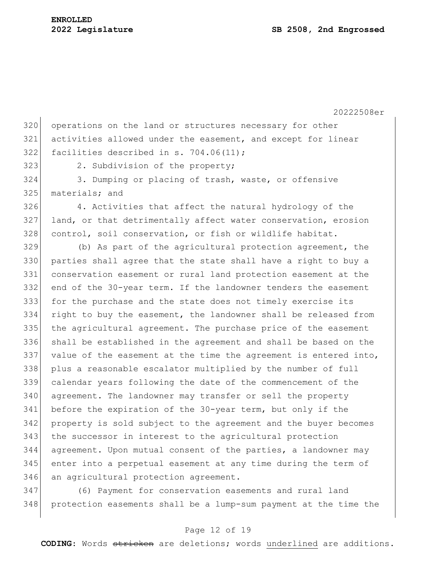320 operations on the land or structures necessary for other activities allowed under the easement, and except for linear facilities described in s. 704.06(11);

323 2. Subdivision of the property;

 3. Dumping or placing of trash, waste, or offensive 325 materials; and

 4. Activities that affect the natural hydrology of the 327 land, or that detrimentally affect water conservation, erosion 328 control, soil conservation, or fish or wildlife habitat.

 (b) As part of the agricultural protection agreement, the parties shall agree that the state shall have a right to buy a conservation easement or rural land protection easement at the end of the 30-year term. If the landowner tenders the easement for the purchase and the state does not timely exercise its right to buy the easement, the landowner shall be released from the agricultural agreement. The purchase price of the easement shall be established in the agreement and shall be based on the value of the easement at the time the agreement is entered into, plus a reasonable escalator multiplied by the number of full calendar years following the date of the commencement of the 340 agreement. The landowner may transfer or sell the property before the expiration of the 30-year term, but only if the property is sold subject to the agreement and the buyer becomes the successor in interest to the agricultural protection agreement. Upon mutual consent of the parties, a landowner may enter into a perpetual easement at any time during the term of 346 an agricultural protection agreement.

 (6) Payment for conservation easements and rural land protection easements shall be a lump-sum payment at the time the

# Page 12 of 19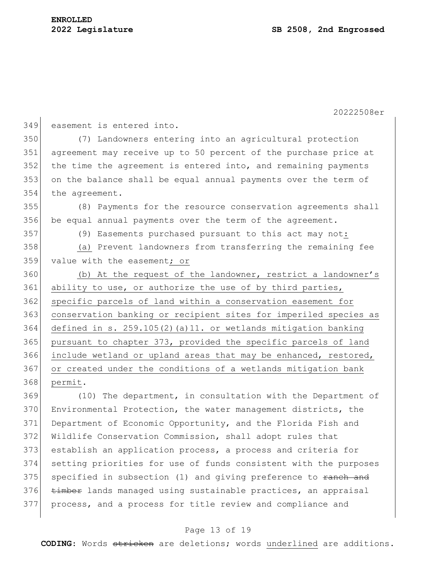20222508er easement is entered into. (7) Landowners entering into an agricultural protection agreement may receive up to 50 percent of the purchase price at 352 the time the agreement is entered into, and remaining payments on the balance shall be equal annual payments over the term of the agreement. (8) Payments for the resource conservation agreements shall 356 be equal annual payments over the term of the agreement. (9) Easements purchased pursuant to this act may not: (a) Prevent landowners from transferring the remaining fee value with the easement; or 360 (b) At the request of the landowner, restrict a landowner's 361 ability to use, or authorize the use of by third parties, 362 specific parcels of land within a conservation easement for conservation banking or recipient sites for imperiled species as defined in s. 259.105(2)(a)11. or wetlands mitigation banking pursuant to chapter 373, provided the specific parcels of land include wetland or upland areas that may be enhanced, restored, 367 or created under the conditions of a wetlands mitigation bank permit. 369 (10) The department, in consultation with the Department of Environmental Protection, the water management districts, the

 Department of Economic Opportunity, and the Florida Fish and Wildlife Conservation Commission, shall adopt rules that establish an application process, a process and criteria for setting priorities for use of funds consistent with the purposes specified in subsection (1) and giving preference to ranch and 376 timber lands managed using sustainable practices, an appraisal process, and a process for title review and compliance and

# Page 13 of 19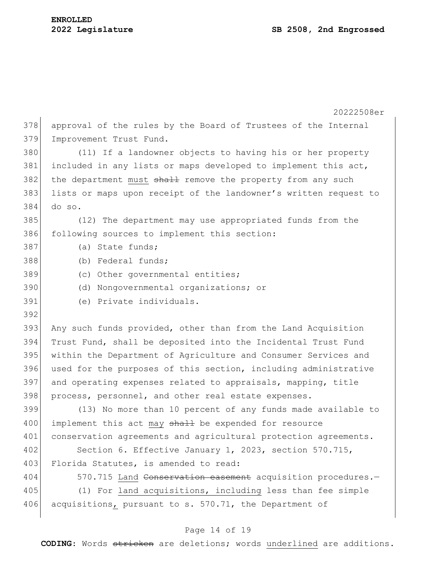|     | 20222508er                                                       |
|-----|------------------------------------------------------------------|
| 378 | approval of the rules by the Board of Trustees of the Internal   |
| 379 | Improvement Trust Fund.                                          |
| 380 | (11) If a landowner objects to having his or her property        |
| 381 | included in any lists or maps developed to implement this act,   |
| 382 | the department must shall remove the property from any such      |
| 383 | lists or maps upon receipt of the landowner's written request to |
| 384 | do so.                                                           |
| 385 | (12) The department may use appropriated funds from the          |
| 386 | following sources to implement this section:                     |
| 387 | (a) State funds;                                                 |
| 388 | (b) Federal funds;                                               |
| 389 | (c) Other governmental entities;                                 |
| 390 | (d) Nongovernmental organizations; or                            |
| 391 | (e) Private individuals.                                         |
| 392 |                                                                  |
| 393 | Any such funds provided, other than from the Land Acquisition    |
| 394 | Trust Fund, shall be deposited into the Incidental Trust Fund    |
| 395 | within the Department of Agriculture and Consumer Services and   |
| 396 | used for the purposes of this section, including administrative  |
| 397 | and operating expenses related to appraisals, mapping, title     |
| 398 | process, personnel, and other real estate expenses.              |
| 399 | (13) No more than 10 percent of any funds made available to      |
| 400 | implement this act may shall be expended for resource            |
| 401 | conservation agreements and agricultural protection agreements.  |
| 402 | Section 6. Effective January 1, 2023, section 570.715,           |
| 403 | Florida Statutes, is amended to read:                            |
| 404 | 570.715 Land Conservation casement acquisition procedures.-      |
| 405 | (1) For land acquisitions, including less than fee simple        |
| 406 | acquisitions, pursuant to s. 570.71, the Department of           |
|     |                                                                  |

# Page 14 of 19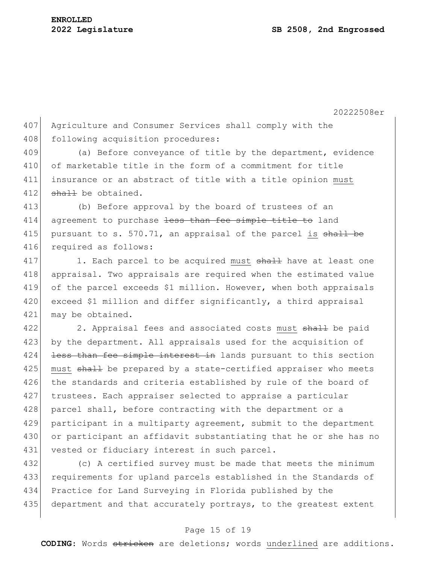407 Agriculture and Consumer Services shall comply with the 408 following acquisition procedures:

409 (a) Before conveyance of title by the department, evidence of marketable title in the form of a commitment for title insurance or an abstract of title with a title opinion must shall be obtained.

413 (b) Before approval by the board of trustees of an 414 agreement to purchase <del>less than fee simple title to</del> land 415 pursuant to s. 570.71, an appraisal of the parcel is  $shall$  be 416 required as follows:

417 1. Each parcel to be acquired must shall have at least one 418 appraisal. Two appraisals are required when the estimated value 419 of the parcel exceeds \$1 million. However, when both appraisals 420 exceed \$1 million and differ significantly, a third appraisal 421 may be obtained.

422 2. Appraisal fees and associated costs must shall be paid 423 by the department. All appraisals used for the acquisition of 424 <del>less than fee simple interest in</del> lands pursuant to this section 425 must shall be prepared by a state-certified appraiser who meets 426 the standards and criteria established by rule of the board of 427 trustees. Each appraiser selected to appraise a particular 428 parcel shall, before contracting with the department or a 429 participant in a multiparty agreement, submit to the department 430 or participant an affidavit substantiating that he or she has no 431 vested or fiduciary interest in such parcel.

 (c) A certified survey must be made that meets the minimum requirements for upland parcels established in the Standards of Practice for Land Surveying in Florida published by the 435 department and that accurately portrays, to the greatest extent

# Page 15 of 19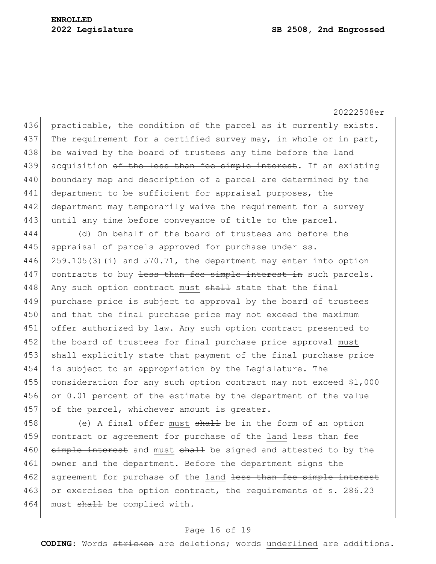20222508er 436 practicable, the condition of the parcel as it currently exists. 437 The requirement for a certified survey may, in whole or in part, 438 be waived by the board of trustees any time before the land 439 acquisition of the less than fee simple interest. If an existing 440 boundary map and description of a parcel are determined by the 441 department to be sufficient for appraisal purposes, the 442 department may temporarily waive the requirement for a survey 443 until any time before conveyance of title to the parcel. 444 (d) On behalf of the board of trustees and before the 445 appraisal of parcels approved for purchase under ss. 446 259.105(3)(i) and 570.71, the department may enter into option 447 contracts to buy less than fee simple interest in such parcels. 448 Any such option contract must shall state that the final 449 purchase price is subject to approval by the board of trustees 450 and that the final purchase price may not exceed the maximum 451 offer authorized by law. Any such option contract presented to 452 the board of trustees for final purchase price approval must 453 shall explicitly state that payment of the final purchase price 454 is subject to an appropriation by the Legislature. The 455 consideration for any such option contract may not exceed \$1,000

456 or 0.01 percent of the estimate by the department of the value 457 of the parcel, whichever amount is greater.

458 (e) A final offer must  $shall$  be in the form of an option 459 contract or agreement for purchase of the land less than fee 460 simple interest and must shall be signed and attested to by the 461 owner and the department. Before the department signs the 462 agreement for purchase of the land less than fee simple interest 463 or exercises the option contract, the requirements of s. 286.23 464 must shall be complied with.

## Page 16 of 19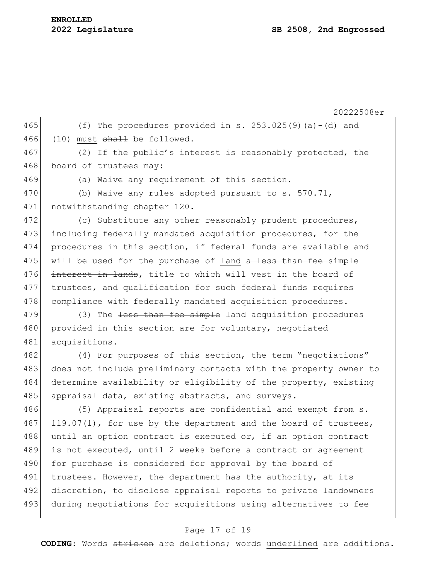20222508er 465 (f) The procedures provided in s.  $253.025(9)(a) - (d)$  and 466 (10) must  $shall$  be followed. 467 (2) If the public's interest is reasonably protected, the 468 board of trustees may: 469 (a) Waive any requirement of this section. 470 (b) Waive any rules adopted pursuant to s. 570.71, 471 notwithstanding chapter 120. 472 (c) Substitute any other reasonably prudent procedures, 473 including federally mandated acquisition procedures, for the 474 procedures in this section, if federal funds are available and 475 will be used for the purchase of land a less than fee simple 476 interest in lands, title to which will vest in the board of 477 trustees, and qualification for such federal funds requires 478 compliance with federally mandated acquisition procedures.  $479$  (3) The <del>less than fee simple</del> land acquisition procedures 480 provided in this section are for voluntary, negotiated 481 acquisitions. 482 (4) For purposes of this section, the term "negotiations" 483 does not include preliminary contacts with the property owner to 484 determine availability or eligibility of the property, existing 485 appraisal data, existing abstracts, and surveys. 486 (5) Appraisal reports are confidential and exempt from s. 487 119.07(1), for use by the department and the board of trustees, 488 until an option contract is executed or, if an option contract 489 is not executed, until 2 weeks before a contract or agreement 490 for purchase is considered for approval by the board of 491 trustees. However, the department has the authority, at its 492 discretion, to disclose appraisal reports to private landowners 493 during negotiations for acquisitions using alternatives to fee

# Page 17 of 19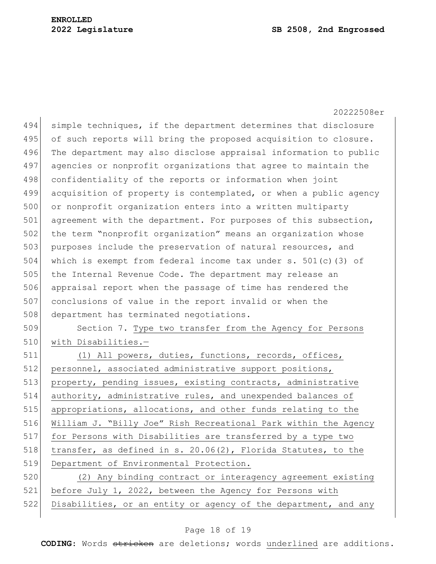20222508er 494 simple techniques, if the department determines that disclosure 495 of such reports will bring the proposed acquisition to closure. 496 The department may also disclose appraisal information to public 497 agencies or nonprofit organizations that agree to maintain the 498 confidentiality of the reports or information when joint 499 acquisition of property is contemplated, or when a public agency 500 or nonprofit organization enters into a written multiparty 501 agreement with the department. For purposes of this subsection, 502 the term "nonprofit organization" means an organization whose 503 purposes include the preservation of natural resources, and 504 which is exempt from federal income tax under s. 501(c)(3) of 505 the Internal Revenue Code. The department may release an 506 appraisal report when the passage of time has rendered the 507 conclusions of value in the report invalid or when the 508 department has terminated negotiations. 509 Section 7. Type two transfer from the Agency for Persons 510 with Disabilities.-511 (1) All powers, duties, functions, records, offices, 512 personnel, associated administrative support positions, 513 property, pending issues, existing contracts, administrative 514 authority, administrative rules, and unexpended balances of 515 appropriations, allocations, and other funds relating to the 516 William J. "Billy Joe" Rish Recreational Park within the Agency 517 for Persons with Disabilities are transferred by a type two 518  $\vert$  transfer, as defined in s. 20.06(2), Florida Statutes, to the 519 Department of Environmental Protection. 520 (2) Any binding contract or interagency agreement existing 521 before July 1, 2022, between the Agency for Persons with 522 Disabilities, or an entity or agency of the department, and any

## Page 18 of 19